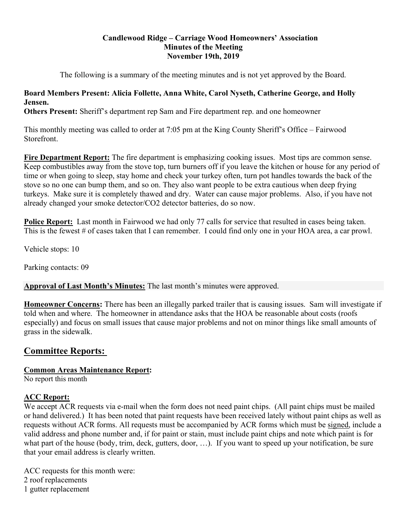# Candlewood Ridge – Carriage Wood Homeowners' Association Minutes of the Meeting November 19th, 2019

The following is a summary of the meeting minutes and is not yet approved by the Board.

## Board Members Present: Alicia Follette, Anna White, Carol Nyseth, Catherine George, and Holly Jensen.

Others Present: Sheriff's department rep Sam and Fire department rep. and one homeowner

This monthly meeting was called to order at 7:05 pm at the King County Sheriff's Office – Fairwood Storefront.

Fire Department Report: The fire department is emphasizing cooking issues. Most tips are common sense. Keep combustibles away from the stove top, turn burners off if you leave the kitchen or house for any period of time or when going to sleep, stay home and check your turkey often, turn pot handles towards the back of the stove so no one can bump them, and so on. They also want people to be extra cautious when deep frying turkeys. Make sure it is completely thawed and dry. Water can cause major problems. Also, if you have not already changed your smoke detector/CO2 detector batteries, do so now.

Police Report: Last month in Fairwood we had only 77 calls for service that resulted in cases being taken. This is the fewest # of cases taken that I can remember. I could find only one in your HOA area, a car prowl.

Vehicle stops: 10

Parking contacts: 09

Approval of Last Month's Minutes: The last month's minutes were approved.

Homeowner Concerns: There has been an illegally parked trailer that is causing issues. Sam will investigate if told when and where. The homeowner in attendance asks that the HOA be reasonable about costs (roofs especially) and focus on small issues that cause major problems and not on minor things like small amounts of grass in the sidewalk.

# Committee Reports:

# Common Areas Maintenance Report:

No report this month

# ACC Report:

We accept ACR requests via e-mail when the form does not need paint chips. (All paint chips must be mailed or hand delivered.) It has been noted that paint requests have been received lately without paint chips as well as requests without ACR forms. All requests must be accompanied by ACR forms which must be signed, include a valid address and phone number and, if for paint or stain, must include paint chips and note which paint is for what part of the house (body, trim, deck, gutters, door, ...). If you want to speed up your notification, be sure that your email address is clearly written.

ACC requests for this month were: 2 roof replacements 1 gutter replacement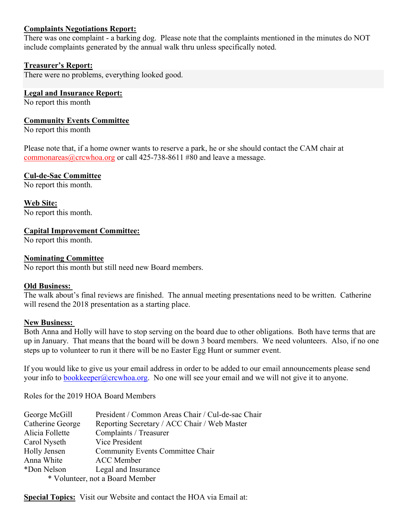# Complaints Negotiations Report:

There was one complaint - a barking dog. Please note that the complaints mentioned in the minutes do NOT include complaints generated by the annual walk thru unless specifically noted.

## Treasurer's Report:

There were no problems, everything looked good.

### Legal and Insurance Report:

No report this month

## Community Events Committee

No report this month

Please note that, if a home owner wants to reserve a park, he or she should contact the CAM chair at commonareas@crcwhoa.org or call 425-738-8611 #80 and leave a message.

## Cul-de-Sac Committee

No report this month.

Web Site: No report this month.

### Capital Improvement Committee:

No report this month.

### Nominating Committee

No report this month but still need new Board members.

### Old Business:

The walk about's final reviews are finished. The annual meeting presentations need to be written. Catherine will resend the 2018 presentation as a starting place.

#### New Business:

Both Anna and Holly will have to stop serving on the board due to other obligations. Both have terms that are up in January. That means that the board will be down 3 board members. We need volunteers. Also, if no one steps up to volunteer to run it there will be no Easter Egg Hunt or summer event.

If you would like to give us your email address in order to be added to our email announcements please send your info to bookkeeper@crcwhoa.org. No one will see your email and we will not give it to anyone.

Roles for the 2019 HOA Board Members

| George McGill                   | President / Common Areas Chair / Cul-de-sac Chair |
|---------------------------------|---------------------------------------------------|
| Catherine George                | Reporting Secretary / ACC Chair / Web Master      |
| Alicia Follette                 | Complaints / Treasurer                            |
| Carol Nyseth                    | Vice President                                    |
| Holly Jensen                    | Community Events Committee Chair                  |
| Anna White                      | <b>ACC</b> Member                                 |
| *Don Nelson                     | Legal and Insurance                               |
| * Volunteer, not a Board Member |                                                   |

**Special Topics:** Visit our Website and contact the HOA via Email at: